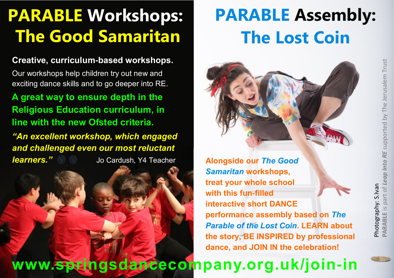## **PARABLE Workshops: The Good Samaritan**

### **Creative, curriculum-based workshops.**

Our workshops help children try out new and exciting dance skills and to go deeper into RE.

**A great way to ensure depth in the Religious Education curriculum, in line with the new Ofsted criteria.**

*"An excellent workshop, which engaged and challenged even our most reluctant learners."*Jo Cardush, Y4 Teacher **Alongside our** *The Good* 

# **PARABLE Assembly: The Lost Coin**



*Samaritan* **workshops, treat your whole school with this fun-filled interactive short DANCE performance assembly based on** *The Parable of the Lost Coin***. LEARN about the story, BE INSPIRED by professional dance, and JOIN IN the celebration!** 

### **www.springsdancecompany.org.uk/join-in**